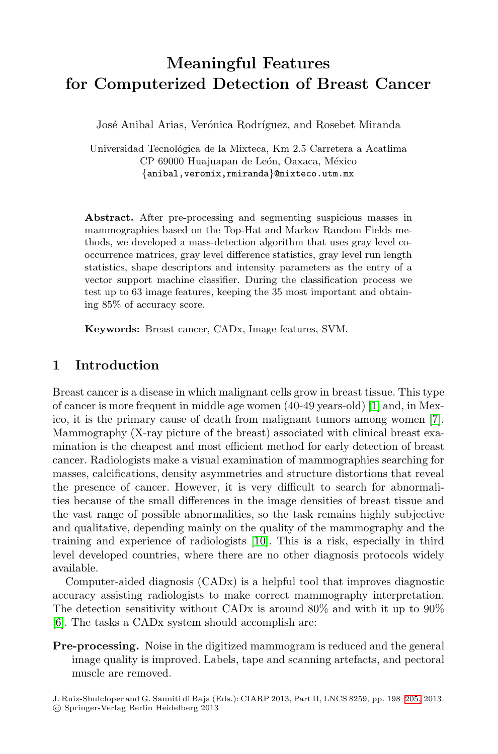# **Meaningful Features for Computerized Detection of Breast Cancer**

José Anibal Arias, Verónica Rodríguez, and Rosebet Miranda

Universidad Tecnológica de la Mixteca, Km 2.5 Carretera a Acatlima CP 69000 Huajuapan de León, Oaxaca, México *{*anibal,veromix,rmiranda*}*@mixteco.utm.mx

**Abstract.** After pre-processing and segmenting suspicious masses in mammographies based on the Top-Hat and Markov Random Fields methods, we developed a mass-detection algorithm that uses gray level cooccurrence matrices, gray level difference statistics, gray level run length statistics, shape descriptors and intensity parameters as the entry of a vector support machine classifier. During the classification process we test up to 63 image features, keeping the 35 most important and obtaining 85% of accuracy score.

**Keywords:** Breast cancer, CADx, Image features, SVM.

## **1 Introduction**

Breast cancer is a disease in which malignant cells grow in breast tissue. This type of cancer is more frequent in middle age women (40-49 years-old) [1] and, in Mexico, it is the primary cause of death from malignant tumors among women [7]. Mammography (X-ray [pic](#page-7-0)ture of the breast) associated with clinical breast examination is the cheapest and most efficient method for early detection of breast cancer. Radiologists make a visual examination of mammographies searching for masses, calcifications, density asymmetries and structure distortions that reveal the presence of cancer. However, it is very difficult to search for abnormalities because of the small differences in the image densities of breast tissue and the vast range of possible abnormalities, so the task remains highly subjective and qualitative, depending mainly on the quality of the mammography and the training and experience of radiologists [10]. This is a risk, especially in third level developed countries, where there are no other diagnosis protocols widely available.

Computer-aided diagnosis (CADx) is a helpful tool that improves diagnostic accuracy assisting radiologists to make correct ma[mmo](#page-7-1)graphy interpretation. The detection sensitivity without CADx is around 80% and with it up to 90% [6]. The tasks a CADx system should accomplish are:

**Pre-processing.** Noise in the digitized mammogram is reduced and the general image quality is improved. Labels, tape and scanning artefacts, and pectoral muscle are removed.

J. Ruiz-Shulcloper and G. Sanniti di Baja (Eds.): CIARP 2013, Part II, LNCS 8259, pp. 198–205, 2013. -c Springer-Verlag Berlin Heidelberg 2013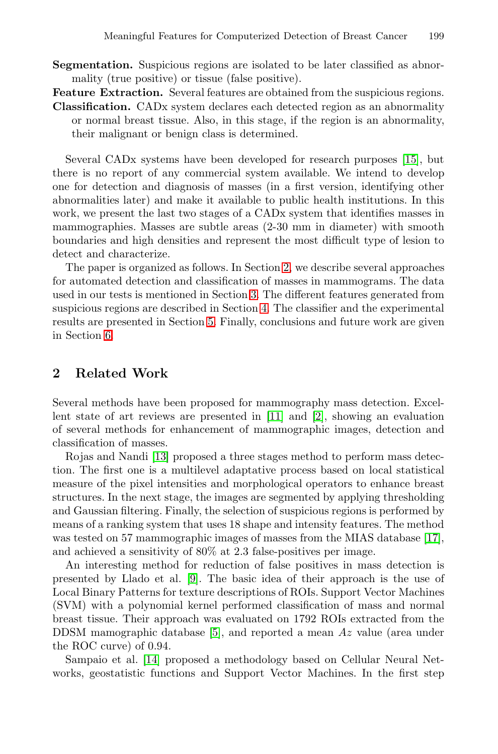**Segmentation.** Suspicious regions are isolated to b[e](#page-7-2) [la](#page-7-2)ter classified as abnormality (true positive) or tissue (false positive).

**Feature Extraction.** Several features are obtained from the suspicious regions. **Classification.** CADx system declares each detected region as an abnormality or normal breast tissue. Also, in this stage, if the region is an abnormality, their malignant or benign class is determined.

<span id="page-1-0"></span>Several CADx systems h[ave](#page-1-0) been developed for research purposes [15], but there is no report of any commercial system available. We intend to develop one for detection and [d](#page-2-0)iagnosis of masses (in a first version, identifying other abnormalities later) an[d m](#page-2-1)ake it available to public health institutions. In this work, we pre[sen](#page-5-0)t the last two stages of a CADx system that identifies masses in mammographies. Masses are subtle areas (2-30 mm in diameter) with smooth boundaries and high densities and represent the most difficult type of lesion to detect and characterize.

The paper is organized as follows. In Section 2, we describe several approaches for automated detection and classification of masses in mammograms. The data used in our tests is mentioned in Section 3. The different features generated from suspicious regions are des[crib](#page-7-3)ed in [Se](#page-6-0)ction 4. The classifier and the experimental results are presented in Section 5. Finally, conclusions and future work are given in Section 6.

# **2 Related Work**

Several methods have been proposed for mammography mass detection. Excellent state of art reviews are presented in [11] and [2], showing an evaluation of several methods for enhancement of mammographic [ima](#page-7-4)ges, detection and classification of masses.

Rojas and Nandi [13] proposed a three stages method to perform mass detection. The [fi](#page-7-5)rst one is a multilevel adaptative process based on local statistical measure of the pixel intensities and morphological operators to enhance breast structures. In the next stage, the images are segmented by applying thresholding and Gaussian filtering. Finally, the selection of suspicious regions is performed by means of a ran[ki](#page-6-1)ng system that uses 18 shape and intensity features. The method was tested on 57 mammographic images of masses from the MIAS database [17], [and](#page-7-6) achieved a sensitivity of 80% at 2.3 false-positives per image.

An interesting method for reduction of false positives in mass detection is presented by Llado et al. [9]. The basic idea of their approach is the use of Local Binary Patterns for texture descriptions of ROIs. Support Vector Machines (SVM) with a polynomial kernel performed classification of mass and normal breast tissue. Their approach was evaluated on 1792 ROIs extracted from the DDSM mamographic database [5], and reported a mean Az value (area under the ROC curve) of 0.94.

Sampaio et al. [14] proposed a methodology based on Cellular Neural Networks, geostatistic functions and Support Vector Machines. In the first step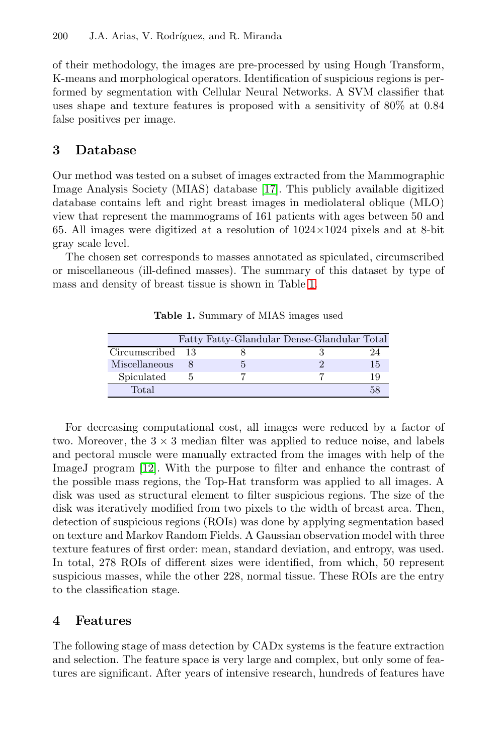<span id="page-2-0"></span>of their methodology, the images are pre-processed by using Hough Transform, K-means and morpholog[ical](#page-7-4) operators. Identification of suspicious regions is performed by segmentation with Cellular Neural Networks. A SVM classifier that uses shape and texture features is proposed with a sensitivity of 80% at 0.84 false positives per image.

## <span id="page-2-2"></span>**3 Database**

Our method was tested on a subse[t o](#page-2-2)f images extracted from the Mammographic Image Analysis Society (MIAS) database [17]. This publicly available digitized database contains left and right breast images in mediolateral oblique (MLO) view that represent the mammograms of 161 patients with ages between 50 and 65. All images were digitized at a resolution of 1024*×*1024 pixels and at 8-bit gray scale level.

The chosen set corresponds to masses annotated as spiculated, circumscribed or miscellaneous (ill-defined masses). The summary of this dataset by type of mass and density of breast tissue is shown in Table 1.

**Table 1.** Summary of MIAS images used

|                  |  | Fatty Fatty-Glandular Dense-Glandular Total |    |
|------------------|--|---------------------------------------------|----|
| Circumscribed 13 |  |                                             | 24 |
| Miscellaneous    |  |                                             | 15 |
| Spiculated       |  |                                             | 19 |
| Total            |  |                                             |    |

<span id="page-2-1"></span>For decreasing computational cost, all images were reduced by a factor of two. Moreover, the  $3 \times 3$  median filter was applied to reduce noise, and labels and pectoral muscle were manually extracted from the images with help of the ImageJ program [12]. With the purpose to filter and enhance the contrast of the possible mass regions, the Top-Hat transform was applied to all images. A disk was used as structural element to filter suspicious regions. The size of the disk was iteratively modified from two pixels to the width of breast area. Then, detection of suspicious regions (ROIs) was done by applying segmentation based on texture and Markov Random Fields. A Gaussian observation model with three texture features of first order: mean, standard deviation, and entropy, was used. In total, 278 ROIs of different sizes were identified, from which, 50 represent suspicious masses, while the other 228, normal tissue. These ROIs are the entry to the classification stage.

#### **4 Features**

The following stage of mass detection by CADx systems is the feature extraction and selection. The feature space is very large and complex, but only some of features are significant. After years of intensive research, hundreds of features have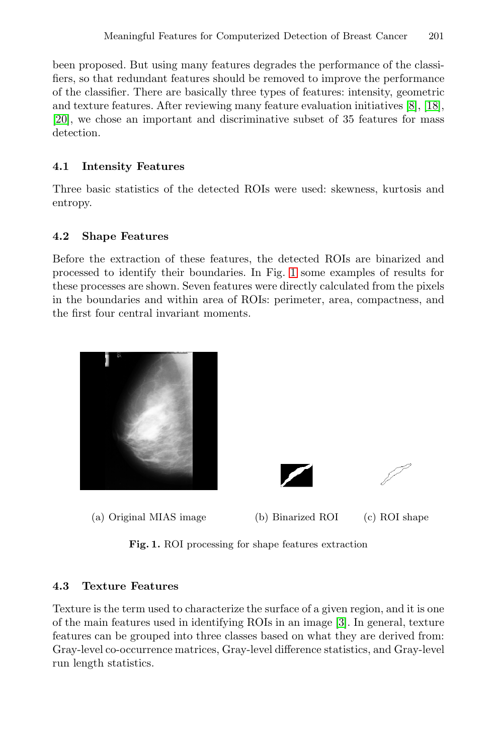been proposed. But using many features degrades the performance of the classifiers, so that redundant features should be removed to improve the performance of the classifier. There are basically three types of features: intensity, geometric and texture features. After reviewing many feature evaluation initiatives [8], [18], [20], we chose an important and discriminative subset of 35 features for mass detection.

## **4.1 Intensity Features**

Three basic statistics of the detected ROIs were used: skewness, kurtosis and entropy.

### **4.2 Shape Features**

Before the extraction of these features, the detected ROIs are binarized and processed to identify their boundaries. In Fig. 1 some examples of results for these processes are shown. Seven features were directly calculated from the pixels in the boundaries and within area of ROIs: perimeter, area, compactness, and the first four central invariant moments.



**Fig. 1.** ROI processing for shape features extraction

#### **4.3 Texture Features**

Texture is the term used to characterize the surface of a given region, and it is one of the main features used in identifying ROIs in an image [3]. In general, texture features can be grouped into three classes based on what they are derived from: Gray-level co-occurrence matrices, Gray-level difference statistics, and Gray-level run length statistics.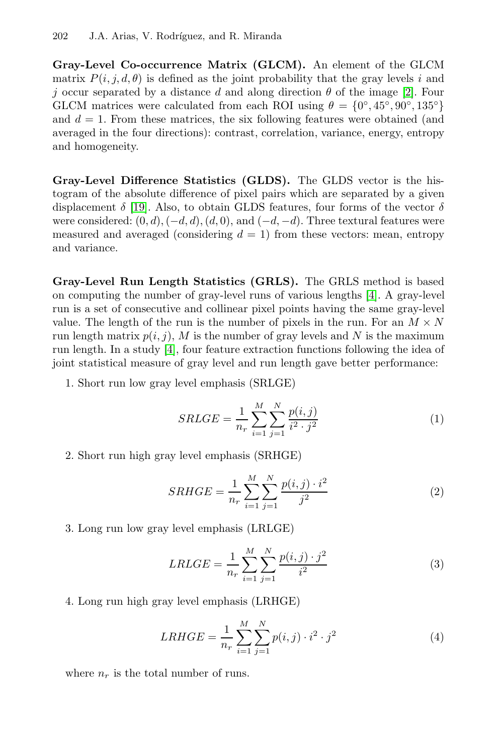#### 202 J.A. Arias, V. Rodríguez, and R. Miranda

**Gray-Level Co-occurrence Matrix (GLCM).** An element of the GLCM matrix  $P(i, j, d, \theta)$  is defined as the joint probability that the gray levels i and j occur separated by a distance d and along direction  $\theta$  of the image [2]. Four [G](#page-7-7)LCM matrices were calculated from each ROI using  $\theta = \{0^\circ, 45^\circ, 90^\circ, 135^\circ\}$ and  $d = 1$ . From these matrices, the six following features were obtained (and averaged in the four directions): contrast, correlation, variance, energy, entropy and homogeneity.

**Gray-Level Difference Statistics (GLDS).** The GLDS vector is the histogram of the absolute difference of pixel pai[rs](#page-6-3) which are separated by a given displacement  $\delta$  [19]. Also, to obtain GLDS features, four forms of the vector  $\delta$ were considered: (0, d),(*−*d, d),(d, 0), and (*−*d, *<sup>−</sup>*d). Three textural features were measured and averaged (considering  $d = 1$ ) from these vectors: mean, entropy and [var](#page-6-3)iance.

**Gray-Level Run Length Statistics (GRLS).** The GRLS method is based on computing the number of gray-level runs of various lengths [4]. A gray-level run is a set of consecutive and collinear pixel points having the same gray-level value. The length of the run is the number of pixels in the run. For an  $M \times N$ run length matrix  $p(i, j)$ , M is the number of gray levels and N is the maximum run length. In a study [4], four feature extraction functions following the idea of joint statistical measure of gray level and run length gave better performance:

1. Short run low gray level emphasis (SRLGE)

$$
SRLGE = \frac{1}{n_r} \sum_{i=1}^{M} \sum_{j=1}^{N} \frac{p(i,j)}{i^2 \cdot j^2}
$$
 (1)

2. Short run high gray level emphasis (SRHGE)

$$
SRHGE = \frac{1}{n_r} \sum_{i=1}^{M} \sum_{j=1}^{N} \frac{p(i,j) \cdot i^2}{j^2}
$$
 (2)

3. Long run low gray level emphasis (LRLGE)

$$
LRLGE = \frac{1}{n_r} \sum_{i=1}^{M} \sum_{j=1}^{N} \frac{p(i,j) \cdot j^2}{i^2}
$$
 (3)

4. Long run high gray level emphasis (LRHGE)

$$
LRHGE = \frac{1}{n_r} \sum_{i=1}^{M} \sum_{j=1}^{N} p(i,j) \cdot i^2 \cdot j^2
$$
 (4)

where  $n_r$  is the total number of runs.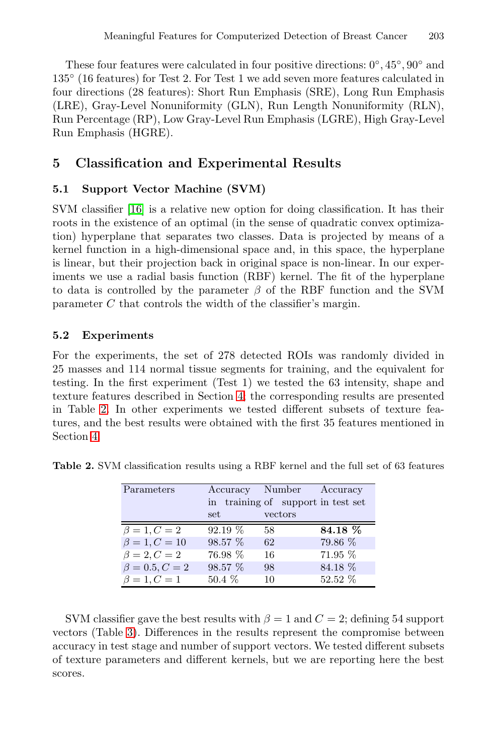<span id="page-5-0"></span>These four features were calculated in four positive directions: 0◦, 45◦, 90◦ and 135◦ (16 features) for Test 2. For Test 1 we add seven more features calculated in four directions (28 features): Short Run Emphasis (SRE), Long Run Emphasis [\(](#page-7-8)LRE), Gray-Level Nonuniformity (GLN), Run Length Nonuniformity (RLN), Run Percentage (RP), Low Gray-Level Run Emphasis (LGRE), High Gray-Level Run Emphasis (HGRE).

## **5 Classification and Experimental Results**

## **5.1 Support Vector Machine (SVM)**

SVM classifier [16] is a relative new option for doing classification. It has their roots in the existence of an optimal (in the sense of quadratic convex optimization) hyperplane that separates two classes. Data is projected by means of a kernel function in a high-dimensional space and, in this space, the hyperplane is linear, but their projection back in original space is non-linear. In our experiments we use a radial basis function (RBF) kernel. The fit of the hyperplane to data is controll[ed](#page-2-1) by the parameter  $\beta$  of the RBF function and the SVM parameter C that controls the width of the classifier's margin.

#### **5.2 Experiments**

For the experiments, the set of 278 detected ROIs was randomly divided in 25 masses and 114 normal tissue segments for training, and the equivalent for testing. In the first experiment (Test 1) we tested the 63 intensity, shape and texture features described in Section 4; the corresponding results are presented in Table 2. In other experiments we tested different subsets of texture features, and the best results were obtained with the first 35 features mentioned in Section 4.

| Parameters           |          | Accuracy Number Accuracy           |           |
|----------------------|----------|------------------------------------|-----------|
|                      |          | in training of support in test set |           |
|                      | set      | vectors                            |           |
| $\beta = 1, C = 2$   | 92.19 %  | 58                                 | 84.18 %   |
| $\beta = 1, C = 10$  | 98.57 %  | 62                                 | 79.86 %   |
| $\beta = 2, C = 2$   | 76.98 %  | 16                                 | 71.95 %   |
| $\beta = 0.5, C = 2$ | 98.57 %  | 98                                 | 84.18 %   |
| $\beta = 1, C = 1$   | $50.4\%$ | 10                                 | $52.52\%$ |

**Table 2.** SVM classification results using a RBF kernel and the full set of 63 features

SVM classifier gave the best results with  $\beta = 1$  and  $C = 2$ ; defining 54 support vectors (Table 3). Differences in the results represent the compromise between accuracy in test stage and number of support vectors. We tested different subsets of texture parameters and different kernels, but we are reporting here the best scores.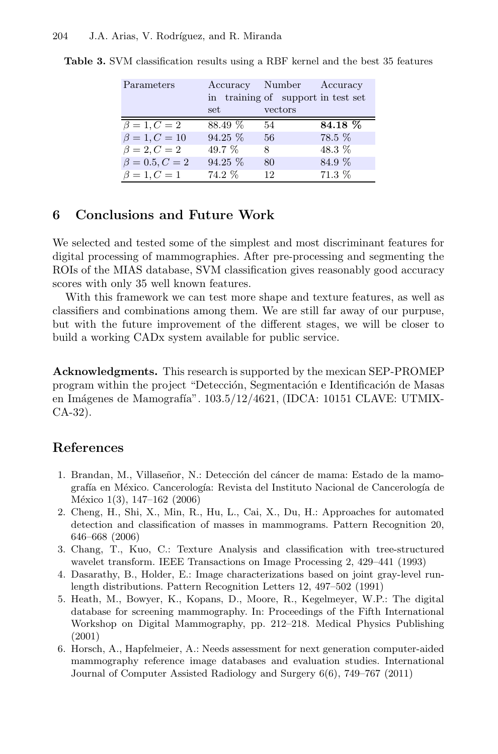| Parameters           |           | Accuracy Number Accuracy<br>in training of support in test set |          |
|----------------------|-----------|----------------------------------------------------------------|----------|
|                      | set       | vectors                                                        |          |
| $\beta=1, C=2$       | 88.49 %   | 54                                                             | 84.18 %  |
| $\beta = 1, C = 10$  | $94.25\%$ | 56                                                             | 78.5 %   |
| $\beta = 2, C = 2$   | 49.7 %    | 8                                                              | 48.3 %   |
| $\beta = 0.5, C = 2$ | $94.25\%$ | 80                                                             | 84.9 %   |
| $\beta = 1, C = 1$   | 74.2 %    | 12                                                             | $71.3\%$ |

**Table 3.** SVM classification results using a RBF kernel and the best 35 features

# **6 Conclusions and Future Work**

We selected and tested some of the simplest and most discriminant features for digital processing of mammographies. After pre-processing and segmenting the ROIs of the MIAS database, SVM classification gives reasonably good accuracy scores with only 35 well known features.

With this framework we can test more shape and texture features, as well as classifiers and combinations among them. We are still far away of our purpuse, but with the future improvement of the different stages, we will be closer to build a working CADx system available for public service.

<span id="page-6-0"></span>**Acknowledgments.** This research is supported by the mexican SEP-PROMEP program within the project "Detección, Segmentación e Identificación de Masas en Imágenes de Mamografía". 103.5/12/4621, (IDCA: 10151 CLAVE: UTMIX-CA-32).

# <span id="page-6-2"></span>**References**

- <span id="page-6-3"></span>1. Brandan, M., Villaseñor, N.: Detección del cáncer de mama: Estado de la mamografía en México. Cancerología: Revista del Instituto Nacional de Cancerología de México 1(3), 147–162 (2006)
- <span id="page-6-1"></span>2. Cheng, H., Shi, X., Min, R., Hu, L., Cai, X., Du, H.: Approaches for automated detection and classification of masses in mammograms. Pattern Recognition 20, 646–668 (2006)
- 3. Chang, T., Kuo, C.: Texture Analysis and classification with tree-structured wavelet transform. IEEE Transactions on Image Processing 2, 429–441 (1993)
- 4. Dasarathy, B., Holder, E.: Image characterizations based on joint gray-level runlength distributions. Pattern Recognition Letters 12, 497–502 (1991)
- 5. Heath, M., Bowyer, K., Kopans, D., Moore, R., Kegelmeyer, W.P.: The digital database for screening mammography. In: Proceedings of the Fifth International Workshop on Digital Mammography, pp. 212–218. Medical Physics Publishing (2001)
- 6. Horsch, A., Hapfelmeier, A.: Needs assessment for next generation computer-aided mammography reference image databases and evaluation studies. International Journal of Computer Assisted Radiology and Surgery 6(6), 749–767 (2011)